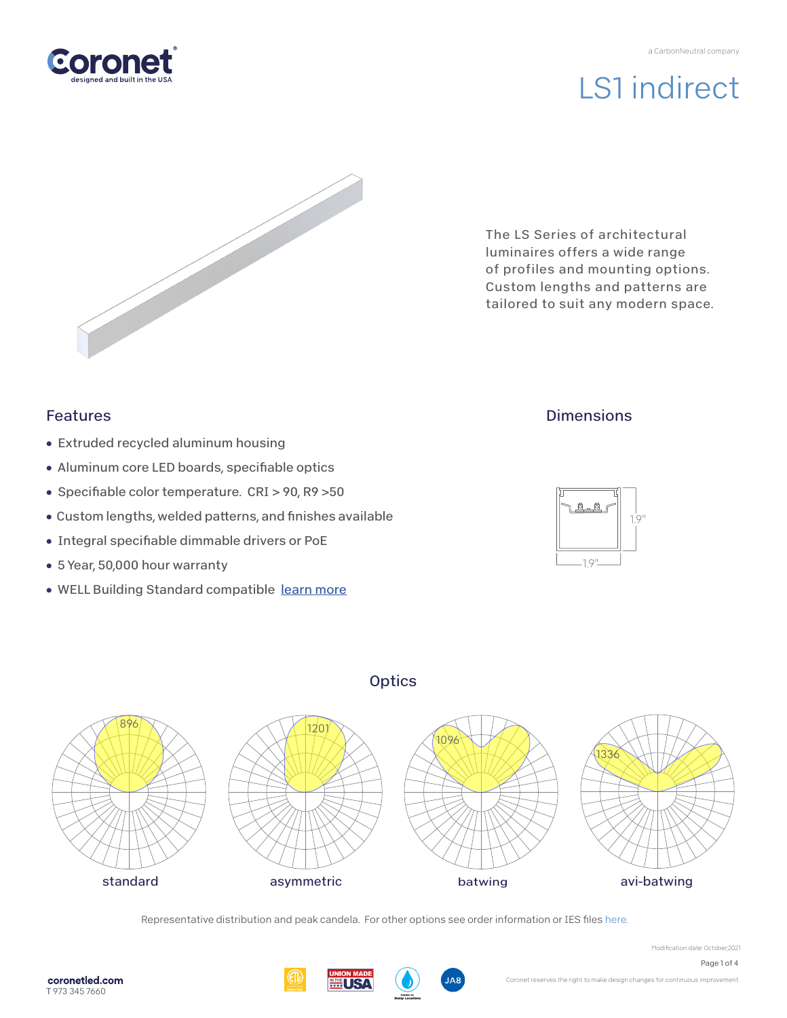



The LS Series of architectural luminaires offers a wide range of profiles and mounting options. Custom lengths and patterns are tailored to suit any modern space.

## Features

- Extruded recycled aluminum housing
- Aluminum core LED boards, specifiable optics
- Specifiable color temperature. CRI > 90, R9 > 50
- Custom lengths, welded patterns, and finishes available
- Integral specifiable dimmable drivers or PoE
- 5 Year, 50,000 hour warranty
- WELL Building Standard compatibl[e learn more](https://coronetled.com/well-v2-standard/)

## **Dimensions**





**Optics** 

Representative distribution and peak candela. For other options see order information or IES file[s here.](https://coronetled.com/downloads/)

Modification date: October,2021



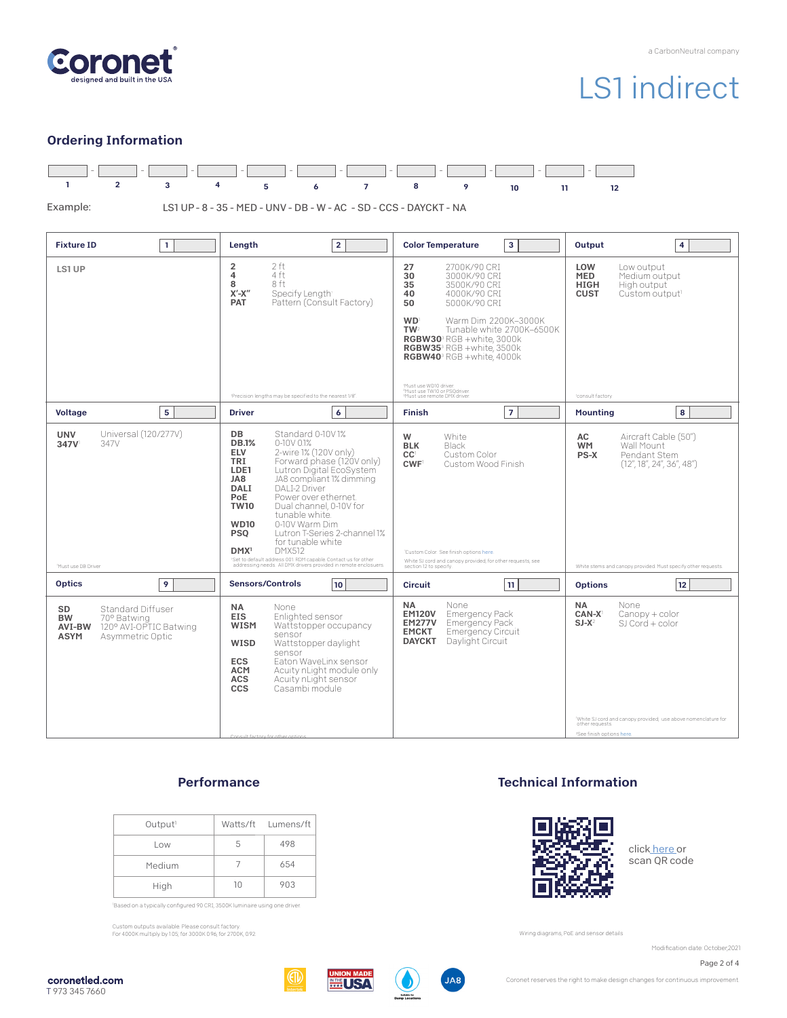

### Ordering Information



### **Performance**

| Output <sup>1</sup> |    | Watts/ft Lumens/ft |
|---------------------|----|--------------------|
| Low                 | ь  | 498                |
| Medium              |    | 654                |
| High                | 10 | 903                |

'Based on a typically configured 90 CRI, 3500K luminaire using one driver.

Custom outputs available. Please consult factory. For 4000K multiply by 1.05; for 3000K 0.96; for 2700K, 0.92.

### Technical Information



click [here o](https://coronetled.com/warranty-technical-info/)r scan QR code

Wiring diagrams, PoE and sensor details

Modification date: October,2021

Page 2 of 4

coronetled.com T 973 345 7660





**JA8** 

Coronet reserves the right to make design changes for continuous improvement.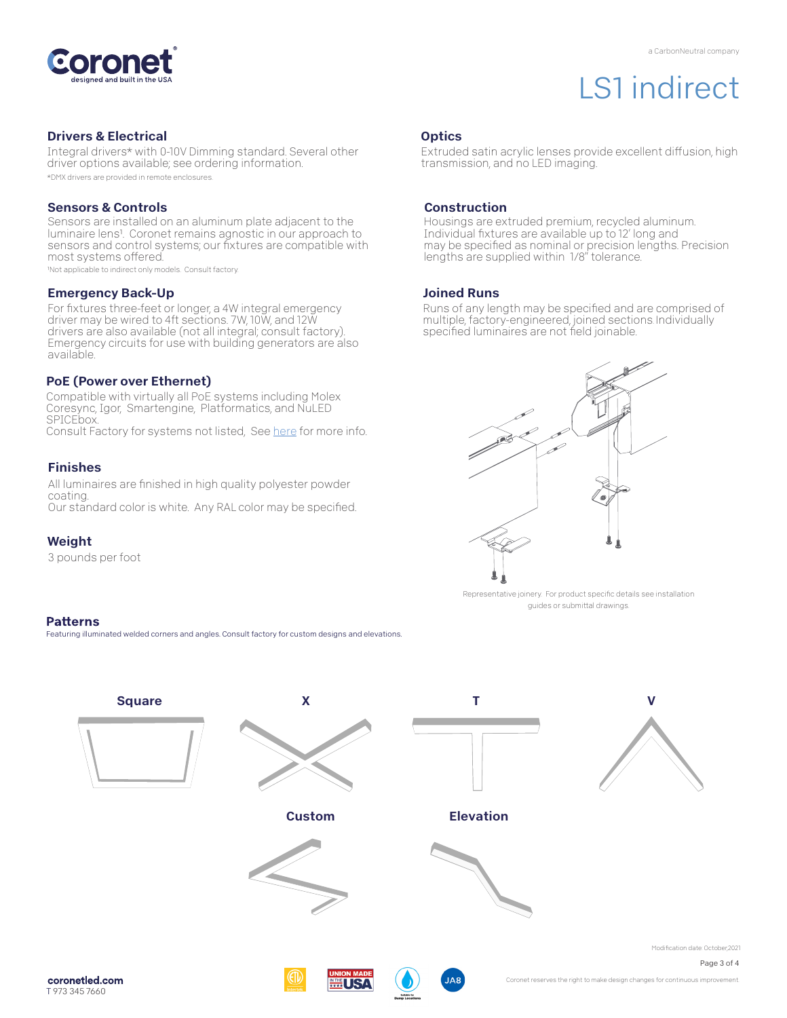

#### Drivers & Electrical

Integral drivers\* with 0-10V Dimming standard. Several other driver options available; see ordering information. \*DMX drivers are provided in remote enclosures.

#### Sensors & Controls

Sensors are installed on an aluminum plate adjacent to the luminaire lens1. Coronet remains agnostic in our approach to sensors and control systems; our fixtures are compatible with most systems offered.

1Not applicable to indirect only models. Consult factory.

#### Emergency Back-Up

For fixtures three-feet or longer, a 4W integral emergency driver may be wired to 4ft sections. 7W, 10W, and 12W drivers are also available (not all integral; consult factory). Emergency circuits for use with building generators are also available.

#### PoE (Power over Ethernet)

Compatible with virtually all PoE systems including Molex Coresync, Igor, Smartengine, Platformatics, and NuLED SPICEbox. Consult Factory for systems not listed, See [here f](https://coronetled.com/warranty-technical-info/)or more info.

#### Finishes

All luminaires are finished in high quality polyester powder coating. Our standard color is white. Any RAL color may be specified.

#### Weight

3 pounds per foot

#### **Patterns**

Featuring illuminated welded corners and angles. Consult factory for custom designs and elevations

## **Optics**

Extruded satin acrylic lenses provide excellent diffusion, high transmission, and no LED imaging.

#### **Construction**

Housings are extruded premium, recycled aluminum. Individual fixtures are available up to 12' long and may be specified as nominal or precision lengths. Precision lengths are supplied within 1/8" tolerance.

#### Joined Runs

Runs of any length may be specified and are comprised of multiple, factory-engineered, joined sections. Individually specified luminaires are not field joinable.



Representative joinery. For product specific details see installation guides or submittal drawings.